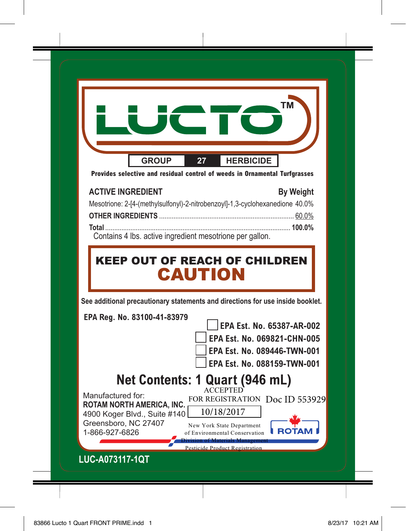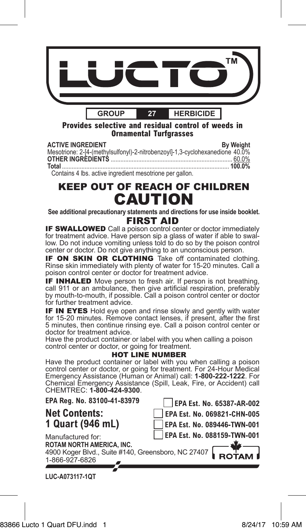

#### **Provides selective and residual control of weeds in Ornamental Turfgrasses**

| <b>ACTIVE INGREDIENT</b>                                                     | <b>By Weight</b> |
|------------------------------------------------------------------------------|------------------|
| Mesotrione: 2-[4-(methylsulfonyl)-2-nitrobenzoyl]-1,3-cyclohexanedione 40.0% |                  |
|                                                                              |                  |
|                                                                              | 100.0%           |
| Contains 4 lbs. active ingredient mesotrione per gallon.                     |                  |

## KEEP OUT OF REACH OF CHILDREN CAUTION

**See additional precautionary statements and directions for use inside booklet.**

**IF SWALLOWED** Call a poison control center or doctor immediately<br>for treatment advice. Have person sip a glass of water if able to swallow. Do not induce vomiting unless told to do so by the poison control center or doctor. Do not give anything to an unconscious person.

IF ON SKIN OR CLOTHING Take off contaminated clothing. Rinse skin immediately with plenty of water for 15-20 minutes. Call a poison control center or doctor for treatment advice.

**IF INHALED** Move person to fresh air. If person is not breathing, call 911 or an ambulance, then give artificial respiration, preferably by mouth-to-mouth, if possible. Call a poison control center or doctor for further treatment advice.

**IF IN EYES** Hold eye open and rinse slowly and gently with water for 15-20 minutes. Remove contact lenses, if present, after the first 5 minutes, then continue rinsing eye. Call a poison control center or doctor for treatment advice.

Have the product container or label with you when calling a poison control center or doctor, or going for treatment.

#### HOT LINE NUMBER

Have the product container or label with you when calling a poison control center or doctor, or going for treatment. For 24-Hour Medical Emergency Assistance (Human or Animal) call: **1-800-222-1222**. For Chemical Emergency Assistance (Spill, Leak, Fire, or Accident) call CHEMTREC: **1-800-424-9300**.

Manufactured for: **ROTAM NORTH AMERICA, INC.** 4900 Koger Blvd., Suite #140, Greensboro, NC 27407 1-866-927-6826 **LUC-A073117-1QT EPA Est. No. 65387-AR-002 EPA Est. No. 069821-CHN-005 EPA Est. No. 089446-TWN-001 EPA Est. No. 088159-TWN-001 EPA Reg. No. 83100-41-83979 Net Contents: 1 Quart (946 mL)**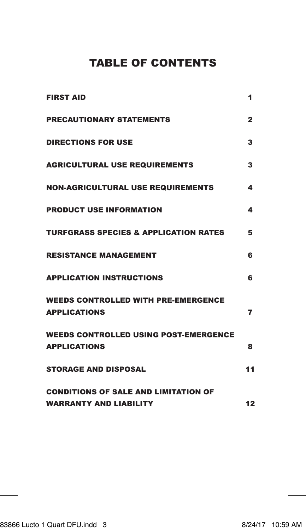# TABLE OF CONTENTS

| <b>FIRST AID</b>                                                             | 1                        |
|------------------------------------------------------------------------------|--------------------------|
| <b>PRECAUTIONARY STATEMENTS</b>                                              | $\mathbf{2}$             |
| <b>DIRECTIONS FOR USE</b>                                                    | 3                        |
| <b>AGRICULTURAL USE REQUIREMENTS</b>                                         | 3                        |
| <b>NON-AGRICULTURAL USE REQUIREMENTS</b>                                     | 4                        |
| <b>PRODUCT USE INFORMATION</b>                                               | 4                        |
| <b>TURFGRASS SPECIES &amp; APPLICATION RATES</b>                             | 5                        |
| <b>RESISTANCE MANAGEMENT</b>                                                 | 6                        |
| <b>APPLICATION INSTRUCTIONS</b>                                              | 6                        |
| <b>WEEDS CONTROLLED WITH PRE-EMERGENCE</b><br><b>APPLICATIONS</b>            | $\overline{\phantom{a}}$ |
| <b>WEEDS CONTROLLED USING POST-EMERGENCE</b><br><b>APPLICATIONS</b>          | 8                        |
| <b>STORAGE AND DISPOSAL</b>                                                  | 11                       |
| <b>CONDITIONS OF SALE AND LIMITATION OF</b><br><b>WARRANTY AND LIABILITY</b> | 12                       |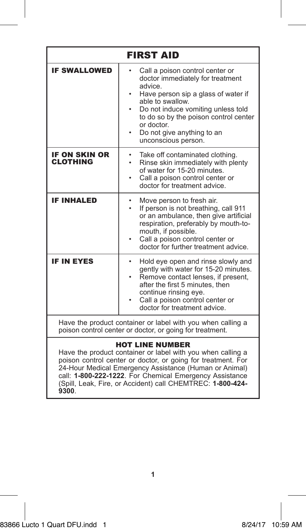| <b>FIRST AID</b>                                                                                                                                                                                                                                                                                                                                  |                                                                                                                                                                                                                                                                                                  |  |  |  |
|---------------------------------------------------------------------------------------------------------------------------------------------------------------------------------------------------------------------------------------------------------------------------------------------------------------------------------------------------|--------------------------------------------------------------------------------------------------------------------------------------------------------------------------------------------------------------------------------------------------------------------------------------------------|--|--|--|
| <b>IF SWALLOWED</b>                                                                                                                                                                                                                                                                                                                               | Call a poison control center or<br>doctor immediately for treatment<br>advice.<br>Have person sip a glass of water if<br>٠<br>able to swallow.<br>Do not induce vomiting unless told<br>to do so by the poison control center<br>or doctor.<br>Do not give anything to an<br>unconscious person. |  |  |  |
| IF ON SKIN OR<br><b>CLOTHING</b>                                                                                                                                                                                                                                                                                                                  | Take off contaminated clothing.<br>Rinse skin immediately with plenty<br>of water for 15-20 minutes.<br>Call a poison control center or<br>٠<br>doctor for treatment advice.                                                                                                                     |  |  |  |
| <b>IF INHALED</b>                                                                                                                                                                                                                                                                                                                                 | Move person to fresh air.<br>If person is not breathing, call 911<br>٠<br>or an ambulance, then give artificial<br>respiration, preferably by mouth-to-<br>mouth, if possible.<br>Call a poison control center or<br>doctor for further treatment advice.                                        |  |  |  |
| <b>IF IN EYES</b>                                                                                                                                                                                                                                                                                                                                 | Hold eye open and rinse slowly and<br>٠<br>gently with water for 15-20 minutes.<br>Remove contact lenses, if present.<br>after the first 5 minutes, then<br>continue rinsing eye.<br>Call a poison control center or<br>doctor for treatment advice.                                             |  |  |  |
| Have the product container or label with you when calling a<br>poison control center or doctor, or going for treatment.                                                                                                                                                                                                                           |                                                                                                                                                                                                                                                                                                  |  |  |  |
| <b>HOT LINE NUMBER</b><br>Have the product container or label with you when calling a<br>poison control center or doctor, or going for treatment. For<br>24-Hour Medical Emergency Assistance (Human or Animal)<br>call: 1-800-222-1222. For Chemical Emergency Assistance<br>(Spill, Leak, Fire, or Accident) call CHEMTREC: 1-800-424-<br>9300. |                                                                                                                                                                                                                                                                                                  |  |  |  |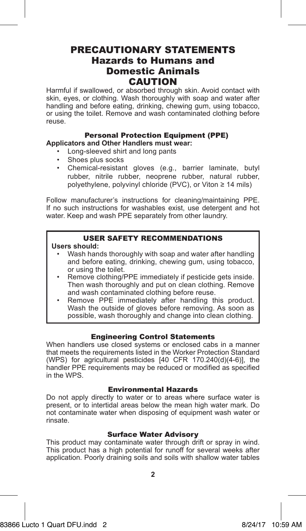### PRECAUTIONARY STATEMENTS Hazards to Humans and Domestic Animals CAUTION

Harmful if swallowed, or absorbed through skin. Avoid contact with skin, eyes, or clothing. Wash thoroughly with soap and water after handling and before eating, drinking, chewing gum, using tobacco, or using the toilet. Remove and wash contaminated clothing before reuse.

#### Personal Protection Equipment (PPE) **Applicators and Other Handlers must wear:**

- Long-sleeved shirt and long pants
- Shoes plus socks
- Chemical-resistant gloves (e.g., barrier laminate, butyl rubber, nitrile rubber, neoprene rubber, natural rubber, polyethylene, polyvinyl chloride (PVC), or Viton ≥ 14 mils)

Follow manufacturer's instructions for cleaning/maintaining PPE. If no such instructions for washables exist, use detergent and hot water. Keep and wash PPE separately from other laundry.

#### USER SAFETY RECOMMENDATIONS

#### **Users should:**

- Wash hands thoroughly with soap and water after handling and before eating, drinking, chewing gum, using tobacco, or using the toilet.
- Remove clothing/PPE immediately if pesticide gets inside. Then wash thoroughly and put on clean clothing. Remove and wash contaminated clothing before reuse.
- Remove PPE immediately after handling this product. Wash the outside of gloves before removing. As soon as possible, wash thoroughly and change into clean clothing.

#### Engineering Control Statements

When handlers use closed systems or enclosed cabs in a manner that meets the requirements listed in the Worker Protection Standard (WPS) for agricultural pesticides [40 CFR 170.240(d)(4-6)], the handler PPE requirements may be reduced or modified as specified in the WPS.

#### Environmental Hazards

Do not apply directly to water or to areas where surface water is present, or to intertidal areas below the mean high water mark. Do not contaminate water when disposing of equipment wash water or rinsate.

#### Surface Water Advisory

This product may contaminate water through drift or spray in wind. This product has a high potential for runoff for several weeks after application. Poorly draining soils and soils with shallow water tables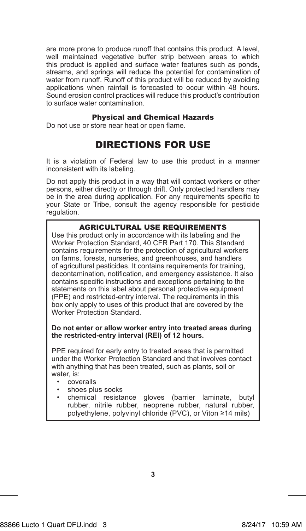are more prone to produce runoff that contains this product. A level, well maintained vegetative buffer strip between areas to which this product is applied and surface water features such as ponds. streams, and springs will reduce the potential for contamination of water from runoff. Runoff of this product will be reduced by avoiding applications when rainfall is forecasted to occur within 48 hours. Sound erosion control practices will reduce this product's contribution to surface water contamination.

#### Physical and Chemical Hazards

Do not use or store near heat or open flame.

## DIRECTIONS FOR USE

It is a violation of Federal law to use this product in a manner inconsistent with its labeling.

Do not apply this product in a way that will contact workers or other persons, either directly or through drift. Only protected handlers may be in the area during application. For any requirements specific to your State or Tribe, consult the agency responsible for pesticide regulation.

#### AGRICULTURAL USE REQUIREMENTS

Use this product only in accordance with its labeling and the Worker Protection Standard, 40 CFR Part 170. This Standard contains requirements for the protection of agricultural workers on farms, forests, nurseries, and greenhouses, and handlers of agricultural pesticides. It contains requirements for training, decontamination, notification, and emergency assistance. It also contains specific instructions and exceptions pertaining to the statements on this label about personal protective equipment (PPE) and restricted-entry interval. The requirements in this box only apply to uses of this product that are covered by the Worker Protection Standard.

#### **Do not enter or allow worker entry into treated areas during the restricted-entry interval (REI) of 12 hours.**

PPE required for early entry to treated areas that is permitted under the Worker Protection Standard and that involves contact with anything that has been treated, such as plants, soil or water, is:<br>COVE

#### • coveralls

- shoes plus socks
- chemical resistance gloves (barrier laminate, butyl rubber, nitrile rubber, neoprene rubber, natural rubber, polyethylene, polyvinyl chloride (PVC), or Viton ≥14 mils)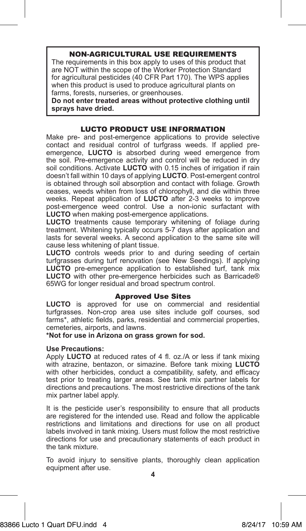#### NON-AGRICULTURAL USE REQUIREMENTS

The requirements in this box apply to uses of this product that are NOT within the scope of the Worker Protection Standard for agricultural pesticides (40 CFR Part 170). The WPS applies when this product is used to produce agricultural plants on farms, forests, nurseries, or greenhouses.

**Do not enter treated areas without protective clothing until sprays have dried.**

#### LUCTO PRODUCT USE INFORMATION

Make pre- and post-emergence applications to provide selective contact and residual control of turfgrass weeds. If applied preemergence, **LUCTO** is absorbed during weed emergence from the soil. Pre-emergence activity and control will be reduced in dry soil conditions. Activate **LUCTO** with 0.15 inches of irrigation if rain doesn't fall within 10 days of applying **LUCTO**. Post-emergent control is obtained through soil absorption and contact with foliage. Growth ceases, weeds whiten from loss of chlorophyll, and die within three weeks. Repeat application of **LUCTO** after 2-3 weeks to improve post-emergence weed control. Use a non-ionic surfactant with **LUCTO** when making post-emergence applications.

**LUCTO** treatments cause temporary whitening of foliage during treatment. Whitening typically occurs 5-7 days after application and lasts for several weeks. A second application to the same site will cause less whitening of plant tissue.

LUCTO controls weeds prior to and during seeding of certain turfgrasses during turf renovation (see New Seedings). If applying **LUCTO** pre-emergence application to established turf, tank mix **LUCTO** with other pre-emergence herbicides such as Barricade® 65WG for longer residual and broad spectrum control.

#### Approved Use Sites

LUCTO is approved for use on commercial and residential turfgrasses. Non-crop area use sites include golf courses, sod farms\*, athletic fields, parks, residential and commercial properties, cemeteries, airports, and lawns.

**\*Not for use in Arizona on grass grown for sod.**

#### **Use Precautions:**

Apply **LUCTO** at reduced rates of 4 fl. oz./A or less if tank mixing with atrazine, bentazon, or simazine. Before tank mixing **LUCTO** with other herbicides, conduct a compatibility, safety, and efficacy test prior to treating larger areas. See tank mix partner labels for directions and precautions. The most restrictive directions of the tank mix partner label apply.

It is the pesticide user's responsibility to ensure that all products are registered for the intended use. Read and follow the applicable restrictions and limitations and directions for use on all product labels involved in tank mixing. Users must follow the most restrictive directions for use and precautionary statements of each product in the tank mixture.

To avoid injury to sensitive plants, thoroughly clean application equipment after use.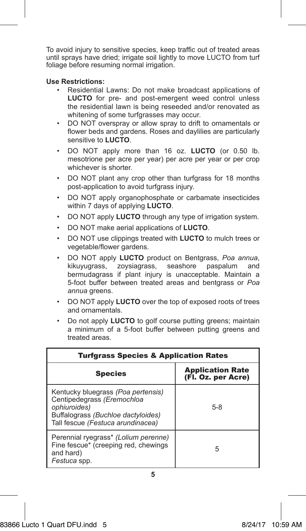To avoid injury to sensitive species, keep traffic out of treated areas until sprays have dried; irrigate soil lightly to move LUCTO from turf foliage before resuming normal irrigation.

#### **Use Restrictions:**

- Residential Lawns: Do not make broadcast applications of **LUCTO** for pre- and post-emergent weed control unless the residential lawn is being reseeded and/or renovated as whitening of some turfgrasses may occur.
- DO NOT overspray or allow spray to drift to ornamentals or flower beds and gardens. Roses and daylilies are particularly sensitive to **LUCTO**.
- DO NOT apply more than 16 oz. **LUCTO** (or 0.50 lb. mesotrione per acre per year) per acre per year or per crop whichever is shorter.
- DO NOT plant any crop other than turfgrass for 18 months post-application to avoid turfgrass injury.
- DO NOT apply organophosphate or carbamate insecticides within 7 days of applying **LUCTO**.
- DO NOT apply **LUCTO** through any type of irrigation system.
- DO NOT make aerial applications of **LUCTO**.
- DO NOT use clippings treated with **LUCTO** to mulch trees or vegetable/flower gardens.
- DO NOT apply **LUCTO** product on Bentgrass, *Poa annua*, kikuyugrass, zoysiagrass, seashore paspalum and bermudagrass if plant injury is unacceptable. Maintain a 5-foot buffer between treated areas and bentgrass or *Poa annua* greens.
- DO NOT apply **LUCTO** over the top of exposed roots of trees and ornamentals.
- Do not apply **LUCTO** to golf course putting greens; maintain a minimum of a 5-foot buffer between putting greens and treated areas.

| <b>Turfgrass Species &amp; Application Rates</b>                                                                                                            |                                               |  |  |
|-------------------------------------------------------------------------------------------------------------------------------------------------------------|-----------------------------------------------|--|--|
| <b>Species</b>                                                                                                                                              | <b>Application Rate</b><br>(FI. Oz. per Acre) |  |  |
| Kentucky bluegrass (Poa pertensis)<br>Centipedegrass (Eremochloa<br>ophiuroides)<br>Buffalograss (Buchloe dactyloides)<br>Tall fescue (Festuca arundinacea) | $5 - 8$                                       |  |  |
| Perennial ryegrass* (Lolium perenne)<br>Fine fescue* (creeping red, chewings<br>and hard)<br>Festuca spp.                                                   | 5                                             |  |  |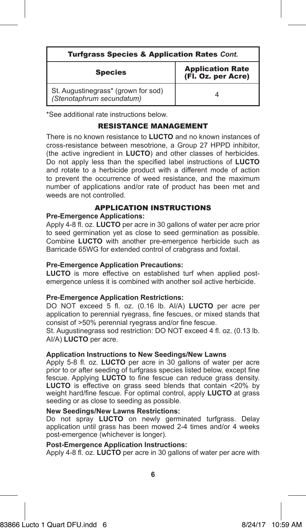| <b>Turfgrass Species &amp; Application Rates Cont.</b>           |                                                |  |  |
|------------------------------------------------------------------|------------------------------------------------|--|--|
| <b>Species</b>                                                   | <b>Application Rate<br/>(Fl. Oz. per Acre)</b> |  |  |
| St. Augustinegrass* (grown for sod)<br>(Stenotaphrum secundatum) |                                                |  |  |

\*See additional rate instructions below.

#### RESISTANCE MANAGEMENT

There is no known resistance to **LUCTO** and no known instances of cross-resistance between mesotrione, a Group 27 HPPD inhibitor, (the active ingredient in **LUCTO**) and other classes of herbicides. Do not apply less than the specified label instructions of **LUCTO** and rotate to a herbicide product with a different mode of action to prevent the occurrence of weed resistance, and the maximum number of applications and/or rate of product has been met and weeds are not controlled.

#### APPLICATION INSTRUCTIONS

#### **Pre-Emergence Applications:**

Apply 4-8 fl. oz. **LUCTO** per acre in 30 gallons of water per acre prior to seed germination yet as close to seed germination as possible. Combine **LUCTO** with another pre-emergence herbicide such as Barricade 65WG for extended control of crabgrass and foxtail.

#### **Pre-Emergence Application Precautions:**

**LUCTO** is more effective on established turf when applied postemergence unless it is combined with another soil active herbicide.

#### **Pre-Emergence Application Restrictions:**

DO NOT exceed 5 fl. oz. (0.16 lb. AI/A) **LUCTO** per acre per application to perennial ryegrass, fine fescues, or mixed stands that consist of >50% perennial ryegrass and/or fine fescue.

St. Augustinegrass sod restriction: DO NOT exceed 4 fl. oz. (0.13 lb. AI/A) **LUCTO** per acre.

#### **Application Instructions to New Seedings/New Lawns**

Apply 5-8 fl. oz. **LUCTO** per acre in 30 gallons of water per acre prior to or after seeding of turfgrass species listed below, except fine fescue. Applying **LUCTO** to fine fescue can reduce grass density. **LUCTO** is effective on grass seed blends that contain <20% by weight hard/fine fescue. For optimal control, apply **LUCTO** at grass seeding or as close to seeding as possible.

#### **New Seedings/New Lawns Restrictions:**

Do not spray LUCTO on newly germinated turfgrass. Delay application until grass has been mowed 2-4 times and/or 4 weeks post-emergence (whichever is longer).

#### **Post-Emergence Application Instructions:**

Apply 4-8 fl. oz. **LUCTO** per acre in 30 gallons of water per acre with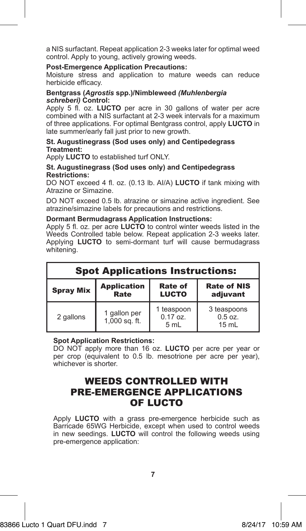a NIS surfactant. Repeat application 2-3 weeks later for optimal weed control. Apply to young, actively growing weeds.

#### **Post-Emergence Application Precautions:**

Moisture stress and application to mature weeds can reduce herbicide efficacy.

#### **Bentgrass (***Agrostis* **spp.)/Nimbleweed** *(Muhlenbergia schreberi)* **Control:**

Apply 5 fl. oz. **LUCTO** per acre in 30 gallons of water per acre combined with a NIS surfactant at 2-3 week intervals for a maximum of three applications. For optimal Bentgrass control, apply **LUCTO** in late summer/early fall just prior to new growth.

#### **St. Augustinegrass (Sod uses only) and Centipedegrass Treatment:**

Apply **LUCTO** to established turf ONLY.

#### **St. Augustinegrass (Sod uses only) and Centipedegrass Restrictions:**

DO NOT exceed 4 fl. oz. (0.13 lb. AI/A) **LUCTO** if tank mixing with Atrazine or Simazine.

DO NOT exceed 0.5 lb. atrazine or simazine active ingredient. See atrazine/simazine labels for precautions and restrictions.

#### **Dormant Bermudagrass Application Instructions:**

Apply 5 fl. oz. per acre **LUCTO** to control winter weeds listed in the Weeds Controlled table below. Repeat application 2-3 weeks later. Applying **LUCTO** to semi-dormant turf will cause bermudagrass whitening.

| <b>Spot Applications Instructions:</b> |                                 |                                  |                                             |  |
|----------------------------------------|---------------------------------|----------------------------------|---------------------------------------------|--|
| <b>Spray Mix</b>                       | <b>Application</b><br>Rate      | Rate of<br><b>LUCTO</b>          | <b>Rate of NIS</b><br>adjuvant              |  |
| 2 gallons                              | 1 gallon per<br>$1,000$ sq. ft. | 1 teaspoon<br>$0.17$ oz.<br>5 mL | 3 teaspoons<br>$0.5$ oz.<br>$15 \text{ mL}$ |  |

#### **Spot Application Restrictions:**

DO NOT apply more than 16 oz. **LUCTO** per acre per year or per crop (equivalent to 0.5 lb. mesotrione per acre per year), whichever is shorter.

## WEEDS CONTROLLED WITH PRE-EMERGENCE APPLICATIONS OF LUCTO

Apply **LUCTO** with a grass pre-emergence herbicide such as Barricade 65WG Herbicide, except when used to control weeds in new seedings. **LUCTO** will control the following weeds using pre-emergence application: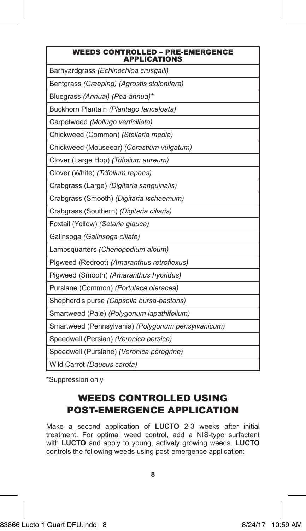#### WEEDS CONTROLLED – PRE-EMERGENCE APPLICATIONS

Barnyardgrass *(Echinochloa crusgalli)*

Bentgrass *(Creeping) (Agrostis stolonifera)*

Bluegrass *(Annual) (Poa annua)\**

Buckhorn Plantain *(Plantago Ianceloata)*

Carpetweed *(Mollugo verticillata)*

Chickweed (Common) *(Stellaria media)*

Chickweed (Mouseear) *(Cerastium vulgatum)*

Clover (Large Hop) *(Trifolium aureum)*

Clover (White) *(Trifolium repens)*

Crabgrass (Large) *(Digitaria sanguinalis)*

Crabgrass (Smooth) *(Digitaria ischaemum)*

Crabgrass (Southern) *(Digitaria ciliaris)*

Foxtail (Yellow) *(Setaria glauca)*

Galinsoga *(Galinsoga ciliate)*

Lambsquarters *(Chenopodium album)*

Pigweed (Redroot) *(Amaranthus retroflexus)*

Pigweed (Smooth) *(Amaranthus hybridus)*

Purslane (Common) *(Portulaca oleracea)*

Shepherd's purse *(Capsella bursa-pastoris)*

Smartweed (Pale) *(Polygonum lapathifolium)*

Smartweed (Pennsylvania) *(Polygonum pensylvanicum)*

Speedwell (Persian) *(Veronica persica)*

Speedwell (Purslane) *(Veronica peregrine)*

Wild Carrot *(Daucus carota)*

\*Suppression only

## WEEDS CONTROLLED USING POST-EMERGENCE APPLICATION

Make a second application of **LUCTO** 2-3 weeks after initial treatment. For optimal weed control, add a NIS-type surfactant with **LUCTO** and apply to young, actively growing weeds. **LUCTO** controls the following weeds using post-emergence application: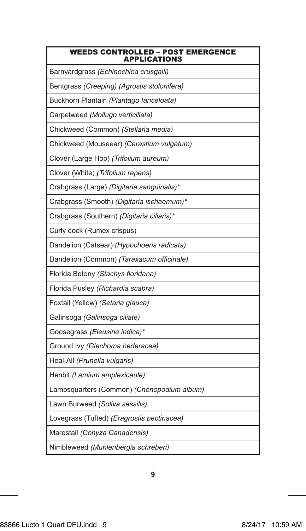#### WEEDS CONTROLLED – POST EMERGENCE APPLICATIONS

Barnyardgrass *(Echinochloa crusgalli)*

Bentgrass *(Creeping) (Agrostis stolonifera)*

Buckhorn Plantain *(Plantago Ianceloata)*

Carpetweed *(Mollugo verticillata)*

Chickweed (Common) *(Stellaria media)*

Chickweed (Mouseear) *(Cerastium vulgatum)*

Clover (Large Hop) *(Trifolium aureum)*

Clover (White) *(Trifolium repens)*

Crabgrass (Large) *(Digitaria sanguinalis)\**

Crabgrass (Smooth) *(Digitaria ischaemum)\**

Crabgrass (Southern) *(Digitaria ciliaris)\**

Curly dock (Rumex crispus)

Dandelion (Catsear) *(Hypochoeris radicata)*

Dandelion (Common) *(Taraxacum officinale)*

Florida Betony *(Stachys floridana)*

Florida Pusley *(Richardia scabra)*

Foxtail (Yellow) *(Setaria glauca)*

Galinsoga *(Galinsoga ciliate)*

Goosegrass *(Eleusine indica)\**

Ground Ivy *(Glechoma hederacea)*

Heal-All *(Prunella vulgaris)*

Henbit *(Lamium amplexicaule)*

Lambsquarters (Common) *(Chenopodium album)*

Lawn Burweed *(Soliva sessilis)*

Lovegrass (Tufted) *(Eragrostis pectinacea)*

Marestail *(Conyza Canadensis)*

Nimbleweed *(Muhlenbergia schreberi)*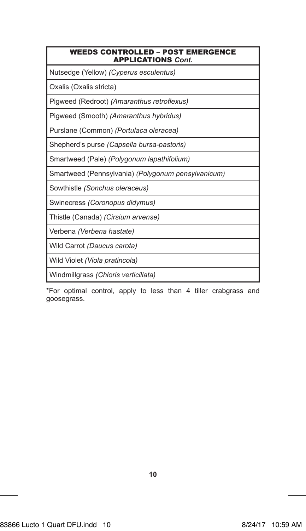#### WEEDS CONTROLLED – POST EMERGENCE APPLICATIONS *Cont.*

Nutsedge (Yellow) *(Cyperus esculentus)*

Oxalis (Oxalis stricta)

Pigweed (Redroot) *(Amaranthus retroflexus)*

Pigweed (Smooth) *(Amaranthus hybridus)*

Purslane (Common) *(Portulaca oleracea)*

Shepherd's purse *(Capsella bursa-pastoris)*

Smartweed (Pale) *(Polygonum lapathifolium)*

Smartweed (Pennsylvania) *(Polygonum pensylvanicum)*

Sowthistle *(Sonchus oleraceus)*

Swinecress *(Coronopus didymus)*

Thistle (Canada) *(Cirsium arvense)*

Verbena *(Verbena hastate)*

Wild Carrot *(Daucus carota)*

Wild Violet *(Viola pratincola)*

Windmillgrass *(Chloris verticillata)*

\*For optimal control, apply to less than 4 tiller crabgrass and goosegrass.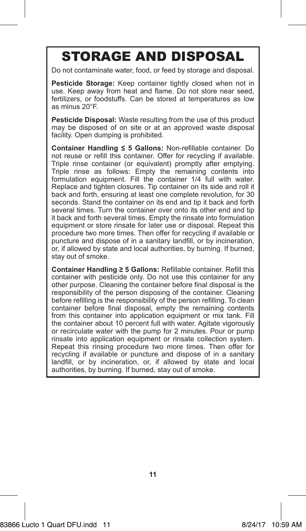# STORAGE AND DISPOSAL

Do not contaminate water, food, or feed by storage and disposal.

**Pesticide Storage:** Keep container tightly closed when not in use. Keep away from heat and flame. Do not store near seed, fertilizers, or foodstuffs. Can be stored at temperatures as low as minus 20°F.

**Pesticide Disposal:** Waste resulting from the use of this product may be disposed of on site or at an approved waste disposal facility. Open dumping is prohibited.

**Container Handling ≤ 5 Gallons:** Non-refillable container. Do not reuse or refill this container. Offer for recycling if available. Triple rinse container (or equivalent) promptly after emptying. Triple rinse as follows: Empty the remaining contents into formulation equipment. Fill the container 1/4 full with water. Replace and tighten closures. Tip container on its side and roll it back and forth, ensuring at least one complete revolution, for 30 seconds. Stand the container on its end and tip it back and forth several times. Turn the container over onto its other end and tip it back and forth several times. Empty the rinsate into formulation equipment or store rinsate for later use or disposal. Repeat this procedure two more times. Then offer for recycling if available or puncture and dispose of in a sanitary landfill, or by incineration, or, if allowed by state and local authorities, by burning. If burned, stay out of smoke.

**Container Handling ≥ 5 Gallons:** Refillable container. Refill this container with pesticide only. Do not use this container for any other purpose. Cleaning the container before final disposal is the responsibility of the person disposing of the container. Cleaning before refilling is the responsibility of the person refilling. To clean container before final disposal, empty the remaining contents from this container into application equipment or mix tank. Fill the container about 10 percent full with water. Agitate vigorously or recirculate water with the pump for 2 minutes. Pour or pump rinsate into application equipment or rinsate collection system. Repeat this rinsing procedure two more times. Then offer for recycling if available or puncture and dispose of in a sanitary landfill, or by incineration, or, if allowed by state and local authorities, by burning. If burned, stay out of smoke.